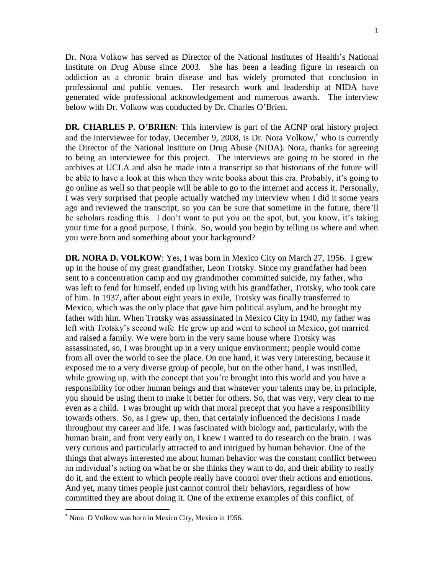Dr. Nora Volkow has served as Director of the National Institutes of Health's National Institute on Drug Abuse since 2003. She has been a leading figure in research on addiction as a chronic brain disease and has widely promoted that conclusion in professional and public venues. Her research work and leadership at NIDA have generated wide professional acknowledgement and numerous awards. The interview below with Dr. Volkow was conducted by Dr. Charles O'Brien.

**DR. CHARLES P. O'BRIEN**: This interview is part of the ACNP oral history project and the interviewee for today, December 9, 2008, is Dr. Nora Volkow,<sup>\*</sup> who is currently the Director of the National Institute on Drug Abuse (NIDA). Nora, thanks for agreeing to being an interviewee for this project. The interviews are going to be stored in the archives at UCLA and also be made into a transcript so that historians of the future will be able to have a look at this when they write books about this era. Probably, it's going to go online as well so that people will be able to go to the internet and access it. Personally, I was very surprised that people actually watched my interview when I did it some years ago and reviewed the transcript, so you can be sure that sometime in the future, there'll be scholars reading this. I don't want to put you on the spot, but, you know, it's taking your time for a good purpose, I think. So, would you begin by telling us where and when you were born and something about your background?

**DR. NORA D. VOLKOW**: Yes, I was born in Mexico City on March 27, 1956. I grew up in the house of my great grandfather, Leon Trotsky. Since my grandfather had been sent to a concentration camp and my grandmother committed suicide, my father, who was left to fend for himself, ended up living with his grandfather, Trotsky, who took care of him. In 1937, after about eight years in exile, Trotsky was finally transferred to Mexico, which was the only place that gave him political asylum, and he brought my father with him. When Trotsky was assassinated in Mexico City in 1940, my father was left with Trotsky's second wife. He grew up and went to school in Mexico, got married and raised a family. We were born in the very same house where Trotsky was assassinated, so, I was brought up in a very unique environment; people would come from all over the world to see the place. On one hand, it was very interesting, because it exposed me to a very diverse group of people, but on the other hand, I was instilled, while growing up, with the concept that you're brought into this world and you have a responsibility for other human beings and that whatever your talents may be, in principle, you should be using them to make it better for others. So, that was very, very clear to me even as a child. I was brought up with that moral precept that you have a responsibility towards others. So, as I grew up, then, that certainly influenced the decisions I made throughout my career and life. I was fascinated with biology and, particularly, with the human brain, and from very early on, I knew I wanted to do research on the brain. I was very curious and particularly attracted to and intrigued by human behavior. One of the things that always interested me about human behavior was the constant conflict between an individual's acting on what he or she thinks they want to do, and their ability to really do it, and the extent to which people really have control over their actions and emotions. And yet, many times people just cannot control their behaviors, regardless of how committed they are about doing it. One of the extreme examples of this conflict, of

 $\overline{\phantom{a}}$ 

Nora D Volkow was born in Mexico City, Mexico in 1956.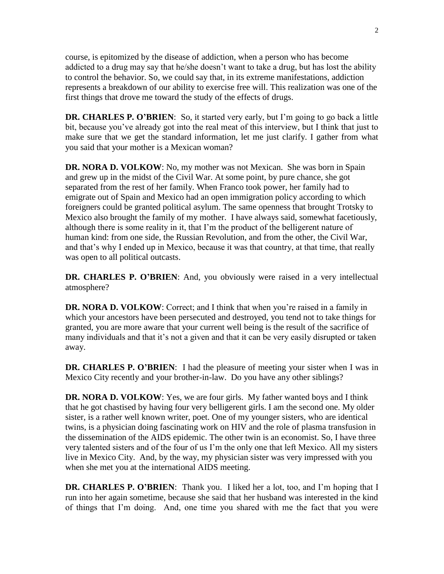course, is epitomized by the disease of addiction, when a person who has become addicted to a drug may say that he/she doesn't want to take a drug, but has lost the ability to control the behavior. So, we could say that, in its extreme manifestations, addiction represents a breakdown of our ability to exercise free will. This realization was one of the first things that drove me toward the study of the effects of drugs.

**DR. CHARLES P. O'BRIEN**: So, it started very early, but I'm going to go back a little bit, because you've already got into the real meat of this interview, but I think that just to make sure that we get the standard information, let me just clarify. I gather from what you said that your mother is a Mexican woman?

**DR. NORA D. VOLKOW**: No, my mother was not Mexican. She was born in Spain and grew up in the midst of the Civil War. At some point, by pure chance, she got separated from the rest of her family. When Franco took power, her family had to emigrate out of Spain and Mexico had an open immigration policy according to which foreigners could be granted political asylum. The same openness that brought Trotsky to Mexico also brought the family of my mother. I have always said, somewhat facetiously, although there is some reality in it, that I'm the product of the belligerent nature of human kind: from one side, the Russian Revolution, and from the other, the Civil War, and that's why I ended up in Mexico, because it was that country, at that time, that really was open to all political outcasts.

**DR. CHARLES P. O'BRIEN**: And, you obviously were raised in a very intellectual atmosphere?

**DR. NORA D. VOLKOW**: Correct; and I think that when you're raised in a family in which your ancestors have been persecuted and destroyed, you tend not to take things for granted, you are more aware that your current well being is the result of the sacrifice of many individuals and that it's not a given and that it can be very easily disrupted or taken away.

**DR. CHARLES P. O'BRIEN**: I had the pleasure of meeting your sister when I was in Mexico City recently and your brother-in-law. Do you have any other siblings?

**DR. NORA D. VOLKOW**: Yes, we are four girls. My father wanted boys and I think that he got chastised by having four very belligerent girls. I am the second one. My older sister, is a rather well known writer, poet. One of my younger sisters, who are identical twins, is a physician doing fascinating work on HIV and the role of plasma transfusion in the dissemination of the AIDS epidemic. The other twin is an economist. So, I have three very talented sisters and of the four of us I'm the only one that left Mexico. All my sisters live in Mexico City. And, by the way, my physician sister was very impressed with you when she met you at the international AIDS meeting.

**DR. CHARLES P. O'BRIEN**: Thank you. I liked her a lot, too, and I'm hoping that I run into her again sometime, because she said that her husband was interested in the kind of things that I'm doing. And, one time you shared with me the fact that you were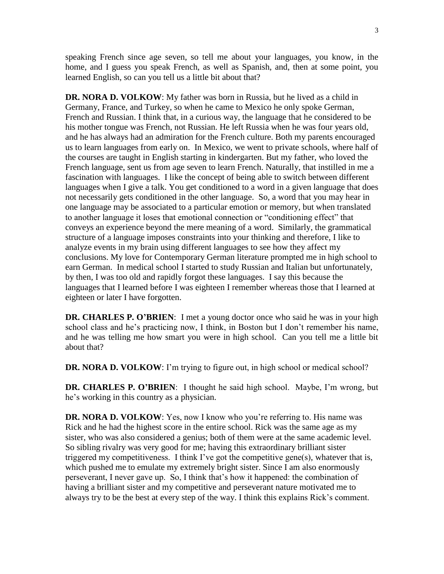speaking French since age seven, so tell me about your languages, you know, in the home, and I guess you speak French, as well as Spanish, and, then at some point, you learned English, so can you tell us a little bit about that?

**DR. NORA D. VOLKOW**: My father was born in Russia, but he lived as a child in Germany, France, and Turkey, so when he came to Mexico he only spoke German, French and Russian. I think that, in a curious way, the language that he considered to be his mother tongue was French, not Russian. He left Russia when he was four years old, and he has always had an admiration for the French culture. Both my parents encouraged us to learn languages from early on. In Mexico, we went to private schools, where half of the courses are taught in English starting in kindergarten. But my father, who loved the French language, sent us from age seven to learn French. Naturally, that instilled in me a fascination with languages. I like the concept of being able to switch between different languages when I give a talk. You get conditioned to a word in a given language that does not necessarily gets conditioned in the other language. So, a word that you may hear in one language may be associated to a particular emotion or memory, but when translated to another language it loses that emotional connection or "conditioning effect" that conveys an experience beyond the mere meaning of a word. Similarly, the grammatical structure of a language imposes constraints into your thinking and therefore, I like to analyze events in my brain using different languages to see how they affect my conclusions. My love for Contemporary German literature prompted me in high school to earn German. In medical school I started to study Russian and Italian but unfortunately, by then, I was too old and rapidly forgot these languages. I say this because the languages that I learned before I was eighteen I remember whereas those that I learned at eighteen or later I have forgotten.

**DR. CHARLES P. O'BRIEN**: I met a young doctor once who said he was in your high school class and he's practicing now, I think, in Boston but I don't remember his name, and he was telling me how smart you were in high school. Can you tell me a little bit about that?

**DR. NORA D. VOLKOW**: I'm trying to figure out, in high school or medical school?

**DR. CHARLES P. O'BRIEN**: I thought he said high school. Maybe, I'm wrong, but he's working in this country as a physician.

**DR. NORA D. VOLKOW**: Yes, now I know who you're referring to. His name was Rick and he had the highest score in the entire school. Rick was the same age as my sister, who was also considered a genius; both of them were at the same academic level. So sibling rivalry was very good for me; having this extraordinary brilliant sister triggered my competitiveness. I think I've got the competitive gene(s), whatever that is, which pushed me to emulate my extremely bright sister. Since I am also enormously perseverant, I never gave up. So, I think that's how it happened: the combination of having a brilliant sister and my competitive and perseverant nature motivated me to always try to be the best at every step of the way. I think this explains Rick's comment.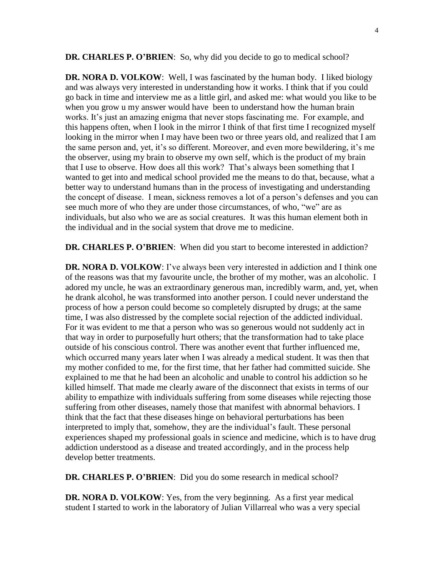**DR. CHARLES P. O'BRIEN**: So, why did you decide to go to medical school?

**DR. NORA D. VOLKOW**: Well, I was fascinated by the human body. I liked biology and was always very interested in understanding how it works. I think that if you could go back in time and interview me as a little girl, and asked me: what would you like to be when you grow u my answer would have been to understand how the human brain works. It's just an amazing enigma that never stops fascinating me. For example, and this happens often, when I look in the mirror I think of that first time I recognized myself looking in the mirror when I may have been two or three years old, and realized that I am the same person and, yet, it's so different. Moreover, and even more bewildering, it's me the observer, using my brain to observe my own self, which is the product of my brain that I use to observe. How does all this work? That's always been something that I wanted to get into and medical school provided me the means to do that, because, what a better way to understand humans than in the process of investigating and understanding the concept of disease. I mean, sickness removes a lot of a person's defenses and you can see much more of who they are under those circumstances, of who, "we" are as individuals, but also who we are as social creatures. It was this human element both in the individual and in the social system that drove me to medicine.

**DR. CHARLES P. O'BRIEN**: When did you start to become interested in addiction?

**DR. NORA D. VOLKOW**: I've always been very interested in addiction and I think one of the reasons was that my favourite uncle, the brother of my mother, was an alcoholic. I adored my uncle, he was an extraordinary generous man, incredibly warm, and, yet, when he drank alcohol, he was transformed into another person. I could never understand the process of how a person could become so completely disrupted by drugs; at the same time, I was also distressed by the complete social rejection of the addicted individual. For it was evident to me that a person who was so generous would not suddenly act in that way in order to purposefully hurt others; that the transformation had to take place outside of his conscious control. There was another event that further influenced me, which occurred many years later when I was already a medical student. It was then that my mother confided to me, for the first time, that her father had committed suicide. She explained to me that he had been an alcoholic and unable to control his addiction so he killed himself. That made me clearly aware of the disconnect that exists in terms of our ability to empathize with individuals suffering from some diseases while rejecting those suffering from other diseases, namely those that manifest with abnormal behaviors. I think that the fact that these diseases hinge on behavioral perturbations has been interpreted to imply that, somehow, they are the individual's fault. These personal experiences shaped my professional goals in science and medicine, which is to have drug addiction understood as a disease and treated accordingly, and in the process help develop better treatments.

**DR. CHARLES P. O'BRIEN**: Did you do some research in medical school?

**DR. NORA D. VOLKOW**: Yes, from the very beginning. As a first year medical student I started to work in the laboratory of Julian Villarreal who was a very special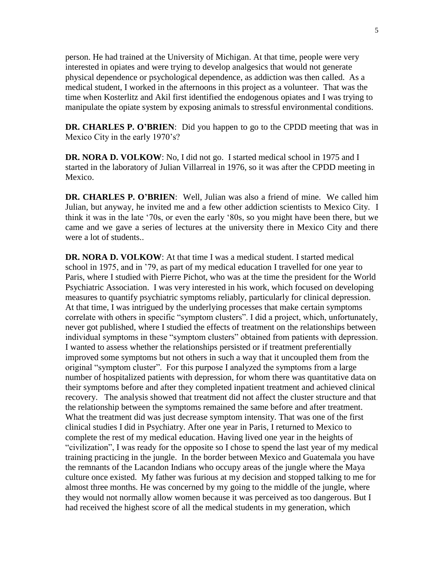person. He had trained at the University of Michigan. At that time, people were very interested in opiates and were trying to develop analgesics that would not generate physical dependence or psychological dependence, as addiction was then called. As a medical student, I worked in the afternoons in this project as a volunteer. That was the time when Kosterlitz and Akil first identified the endogenous opiates and I was trying to manipulate the opiate system by exposing animals to stressful environmental conditions.

**DR. CHARLES P. O'BRIEN**: Did you happen to go to the CPDD meeting that was in Mexico City in the early 1970's?

**DR. NORA D. VOLKOW**: No, I did not go. I started medical school in 1975 and I started in the laboratory of Julian Villarreal in 1976, so it was after the CPDD meeting in Mexico.

**DR. CHARLES P. O'BRIEN**: Well, Julian was also a friend of mine. We called him Julian, but anyway, he invited me and a few other addiction scientists to Mexico City. I think it was in the late '70s, or even the early '80s, so you might have been there, but we came and we gave a series of lectures at the university there in Mexico City and there were a lot of students..

**DR. NORA D. VOLKOW**: At that time I was a medical student. I started medical school in 1975, and in '79, as part of my medical education I travelled for one year to Paris, where I studied with Pierre Pichot, who was at the time the president for the World Psychiatric Association. I was very interested in his work, which focused on developing measures to quantify psychiatric symptoms reliably, particularly for clinical depression. At that time, I was intrigued by the underlying processes that make certain symptoms correlate with others in specific "symptom clusters". I did a project, which, unfortunately, never got published, where I studied the effects of treatment on the relationships between individual symptoms in these "symptom clusters" obtained from patients with depression. I wanted to assess whether the relationships persisted or if treatment preferentially improved some symptoms but not others in such a way that it uncoupled them from the original "symptom cluster". For this purpose I analyzed the symptoms from a large number of hospitalized patients with depression, for whom there was quantitative data on their symptoms before and after they completed inpatient treatment and achieved clinical recovery. The analysis showed that treatment did not affect the cluster structure and that the relationship between the symptoms remained the same before and after treatment. What the treatment did was just decrease symptom intensity. That was one of the first clinical studies I did in Psychiatry. After one year in Paris, I returned to Mexico to complete the rest of my medical education. Having lived one year in the heights of "civilization", I was ready for the opposite so I chose to spend the last year of my medical training practicing in the jungle. In the border between Mexico and Guatemala you have the remnants of the Lacandon Indians who occupy areas of the jungle where the Maya culture once existed. My father was furious at my decision and stopped talking to me for almost three months. He was concerned by my going to the middle of the jungle, where they would not normally allow women because it was perceived as too dangerous. But I had received the highest score of all the medical students in my generation, which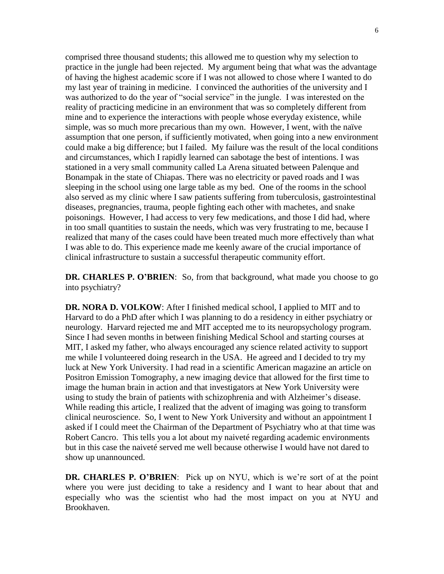comprised three thousand students; this allowed me to question why my selection to practice in the jungle had been rejected. My argument being that what was the advantage of having the highest academic score if I was not allowed to chose where I wanted to do my last year of training in medicine. I convinced the authorities of the university and I was authorized to do the year of "social service" in the jungle. I was interested on the reality of practicing medicine in an environment that was so completely different from mine and to experience the interactions with people whose everyday existence, while simple, was so much more precarious than my own. However, I went, with the naïve assumption that one person, if sufficiently motivated, when going into a new environment could make a big difference; but I failed. My failure was the result of the local conditions and circumstances, which I rapidly learned can sabotage the best of intentions. I was stationed in a very small community called La Arena situated between Palenque and Bonampak in the state of Chiapas. There was no electricity or paved roads and I was sleeping in the school using one large table as my bed. One of the rooms in the school also served as my clinic where I saw patients suffering from tuberculosis, gastrointestinal diseases, pregnancies, trauma, people fighting each other with machetes, and snake poisonings. However, I had access to very few medications, and those I did had, where in too small quantities to sustain the needs, which was very frustrating to me, because I realized that many of the cases could have been treated much more effectively than what I was able to do. This experience made me keenly aware of the crucial importance of clinical infrastructure to sustain a successful therapeutic community effort.

**DR. CHARLES P. O'BRIEN**: So, from that background, what made you choose to go into psychiatry?

**DR. NORA D. VOLKOW**: After I finished medical school, I applied to MIT and to Harvard to do a PhD after which I was planning to do a residency in either psychiatry or neurology. Harvard rejected me and MIT accepted me to its neuropsychology program. Since I had seven months in between finishing Medical School and starting courses at MIT, I asked my father, who always encouraged any science related activity to support me while I volunteered doing research in the USA. He agreed and I decided to try my luck at New York University. I had read in a scientific American magazine an article on Positron Emission Tomography, a new imaging device that allowed for the first time to image the human brain in action and that investigators at New York University were using to study the brain of patients with schizophrenia and with Alzheimer's disease. While reading this article, I realized that the advent of imaging was going to transform clinical neuroscience. So, I went to New York University and without an appointment I asked if I could meet the Chairman of the Department of Psychiatry who at that time was Robert Cancro. This tells you a lot about my naiveté regarding academic environments but in this case the naiveté served me well because otherwise I would have not dared to show up unannounced.

**DR. CHARLES P. O'BRIEN**: Pick up on NYU, which is we're sort of at the point where you were just deciding to take a residency and I want to hear about that and especially who was the scientist who had the most impact on you at NYU and Brookhaven.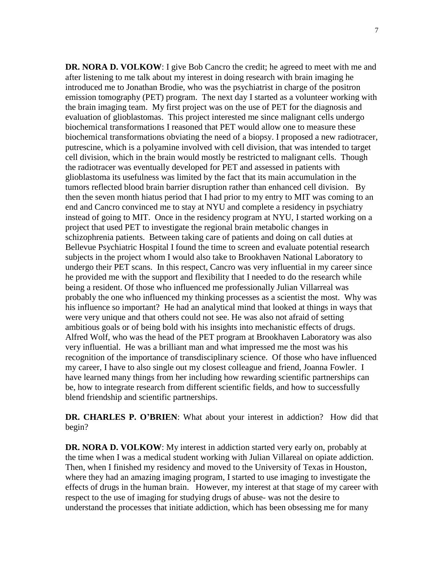**DR. NORA D. VOLKOW**: I give Bob Cancro the credit; he agreed to meet with me and after listening to me talk about my interest in doing research with brain imaging he introduced me to Jonathan Brodie, who was the psychiatrist in charge of the positron emission tomography (PET) program. The next day I started as a volunteer working with the brain imaging team. My first project was on the use of PET for the diagnosis and evaluation of glioblastomas. This project interested me since malignant cells undergo biochemical transformations I reasoned that PET would allow one to measure these biochemical transformations obviating the need of a biopsy. I proposed a new radiotracer, putrescine, which is a polyamine involved with cell division, that was intended to target cell division, which in the brain would mostly be restricted to malignant cells. Though the radiotracer was eventually developed for PET and assessed in patients with glioblastoma its usefulness was limited by the fact that its main accumulation in the tumors reflected blood brain barrier disruption rather than enhanced cell division. By then the seven month hiatus period that I had prior to my entry to MIT was coming to an end and Cancro convinced me to stay at NYU and complete a residency in psychiatry instead of going to MIT. Once in the residency program at NYU, I started working on a project that used PET to investigate the regional brain metabolic changes in schizophrenia patients. Between taking care of patients and doing on call duties at Bellevue Psychiatric Hospital I found the time to screen and evaluate potential research subjects in the project whom I would also take to Brookhaven National Laboratory to undergo their PET scans. In this respect, Cancro was very influential in my career since he provided me with the support and flexibility that I needed to do the research while being a resident. Of those who influenced me professionally Julian Villarreal was probably the one who influenced my thinking processes as a scientist the most. Why was his influence so important? He had an analytical mind that looked at things in ways that were very unique and that others could not see. He was also not afraid of setting ambitious goals or of being bold with his insights into mechanistic effects of drugs. Alfred Wolf, who was the head of the PET program at Brookhaven Laboratory was also very influential. He was a brilliant man and what impressed me the most was his recognition of the importance of transdisciplinary science. Of those who have influenced my career, I have to also single out my closest colleague and friend, Joanna Fowler. I have learned many things from her including how rewarding scientific partnerships can be, how to integrate research from different scientific fields, and how to successfully blend friendship and scientific partnerships.

**DR. CHARLES P. O'BRIEN**: What about your interest in addiction? How did that begin?

**DR. NORA D. VOLKOW**: My interest in addiction started very early on, probably at the time when I was a medical student working with Julian Villareal on opiate addiction. Then, when I finished my residency and moved to the University of Texas in Houston, where they had an amazing imaging program, I started to use imaging to investigate the effects of drugs in the human brain. However, my interest at that stage of my career with respect to the use of imaging for studying drugs of abuse- was not the desire to understand the processes that initiate addiction, which has been obsessing me for many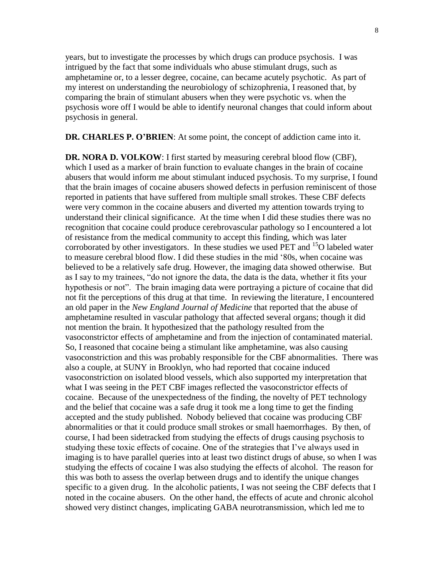years, but to investigate the processes by which drugs can produce psychosis. I was intrigued by the fact that some individuals who abuse stimulant drugs, such as amphetamine or, to a lesser degree, cocaine, can became acutely psychotic. As part of my interest on understanding the neurobiology of schizophrenia, I reasoned that, by comparing the brain of stimulant abusers when they were psychotic vs. when the psychosis wore off I would be able to identify neuronal changes that could inform about psychosis in general.

**DR. CHARLES P. O'BRIEN**: At some point, the concept of addiction came into it.

**DR. NORA D. VOLKOW**: I first started by measuring cerebral blood flow (CBF), which I used as a marker of brain function to evaluate changes in the brain of cocaine abusers that would inform me about stimulant induced psychosis. To my surprise, I found that the brain images of cocaine abusers showed defects in perfusion reminiscent of those reported in patients that have suffered from multiple small strokes. These CBF defects were very common in the cocaine abusers and diverted my attention towards trying to understand their clinical significance. At the time when I did these studies there was no recognition that cocaine could produce cerebrovascular pathology so I encountered a lot of resistance from the medical community to accept this finding, which was later corroborated by other investigators. In these studies we used PET and  $^{15}O$  labeled water to measure cerebral blood flow. I did these studies in the mid '80s, when cocaine was believed to be a relatively safe drug. However, the imaging data showed otherwise. But as I say to my trainees, "do not ignore the data, the data is the data, whether it fits your hypothesis or not". The brain imaging data were portraying a picture of cocaine that did not fit the perceptions of this drug at that time. In reviewing the literature, I encountered an old paper in the *New England Journal of Medicine* that reported that the abuse of amphetamine resulted in vascular pathology that affected several organs; though it did not mention the brain. It hypothesized that the pathology resulted from the vasoconstrictor effects of amphetamine and from the injection of contaminated material. So, I reasoned that cocaine being a stimulant like amphetamine, was also causing vasoconstriction and this was probably responsible for the CBF abnormalities. There was also a couple, at SUNY in Brooklyn, who had reported that cocaine induced vasoconstriction on isolated blood vessels, which also supported my interpretation that what I was seeing in the PET CBF images reflected the vasoconstrictor effects of cocaine. Because of the unexpectedness of the finding, the novelty of PET technology and the belief that cocaine was a safe drug it took me a long time to get the finding accepted and the study published. Nobody believed that cocaine was producing CBF abnormalities or that it could produce small strokes or small haemorrhages. By then, of course, I had been sidetracked from studying the effects of drugs causing psychosis to studying these toxic effects of cocaine. One of the strategies that I've always used in imaging is to have parallel queries into at least two distinct drugs of abuse, so when I was studying the effects of cocaine I was also studying the effects of alcohol. The reason for this was both to assess the overlap between drugs and to identify the unique changes specific to a given drug. In the alcoholic patients, I was not seeing the CBF defects that I noted in the cocaine abusers. On the other hand, the effects of acute and chronic alcohol showed very distinct changes, implicating GABA neurotransmission, which led me to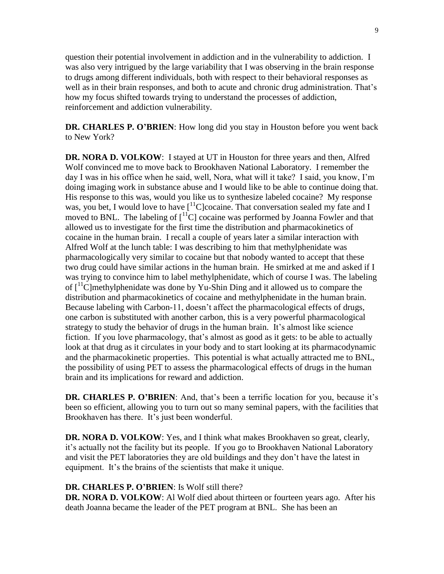question their potential involvement in addiction and in the vulnerability to addiction. I was also very intrigued by the large variability that I was observing in the brain response to drugs among different individuals, both with respect to their behavioral responses as well as in their brain responses, and both to acute and chronic drug administration. That's how my focus shifted towards trying to understand the processes of addiction, reinforcement and addiction vulnerability.

**DR. CHARLES P. O'BRIEN**: How long did you stay in Houston before you went back to New York?

**DR. NORA D. VOLKOW**: I stayed at UT in Houston for three years and then, Alfred Wolf convinced me to move back to Brookhaven National Laboratory. I remember the day I was in his office when he said, well, Nora, what will it take? I said, you know, I'm doing imaging work in substance abuse and I would like to be able to continue doing that. His response to this was, would you like us to synthesize labeled cocaine? My response was, you bet, I would love to have  $\int_1^1 C$  cocaine. That conversation sealed my fate and I moved to BNL. The labeling of  $\left[ {}^{11}C \right]$  cocaine was performed by Joanna Fowler and that allowed us to investigate for the first time the distribution and pharmacokinetics of cocaine in the human brain. I recall a couple of years later a similar interaction with Alfred Wolf at the lunch table: I was describing to him that methylphenidate was pharmacologically very similar to cocaine but that nobody wanted to accept that these two drug could have similar actions in the human brain. He smirked at me and asked if I was trying to convince him to label methylphenidate, which of course I was. The labeling of  $\lceil \cdot \rceil$ <sup>11</sup>C]methylphenidate was done by Yu-Shin Ding and it allowed us to compare the distribution and pharmacokinetics of cocaine and methylphenidate in the human brain. Because labeling with Carbon-11, doesn't affect the pharmacological effects of drugs, one carbon is substituted with another carbon, this is a very powerful pharmacological strategy to study the behavior of drugs in the human brain. It's almost like science fiction. If you love pharmacology, that's almost as good as it gets: to be able to actually look at that drug as it circulates in your body and to start looking at its pharmacodynamic and the pharmacokinetic properties. This potential is what actually attracted me to BNL, the possibility of using PET to assess the pharmacological effects of drugs in the human brain and its implications for reward and addiction.

**DR. CHARLES P. O'BRIEN**: And, that's been a terrific location for you, because it's been so efficient, allowing you to turn out so many seminal papers, with the facilities that Brookhaven has there. It's just been wonderful.

**DR. NORA D. VOLKOW**: Yes, and I think what makes Brookhaven so great, clearly, it's actually not the facility but its people. If you go to Brookhaven National Laboratory and visit the PET laboratories they are old buildings and they don't have the latest in equipment. It's the brains of the scientists that make it unique.

## **DR. CHARLES P. O'BRIEN**: Is Wolf still there?

**DR. NORA D. VOLKOW**: Al Wolf died about thirteen or fourteen years ago. After his death Joanna became the leader of the PET program at BNL. She has been an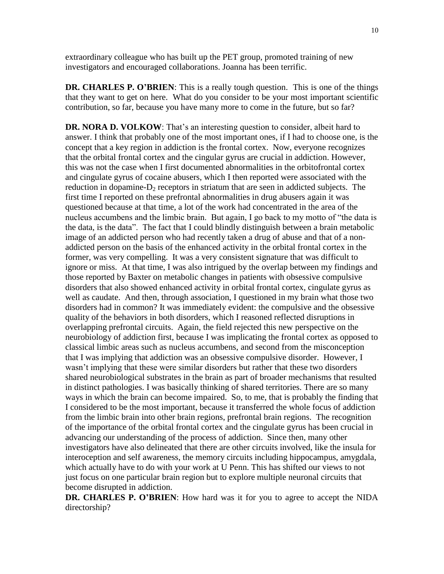extraordinary colleague who has built up the PET group, promoted training of new investigators and encouraged collaborations. Joanna has been terrific.

**DR. CHARLES P. O'BRIEN**: This is a really tough question. This is one of the things that they want to get on here. What do you consider to be your most important scientific contribution, so far, because you have many more to come in the future, but so far?

**DR. NORA D. VOLKOW**: That's an interesting question to consider, albeit hard to answer. I think that probably one of the most important ones, if I had to choose one, is the concept that a key region in addiction is the frontal cortex. Now, everyone recognizes that the orbital frontal cortex and the cingular gyrus are crucial in addiction. However, this was not the case when I first documented abnormalities in the orbitofrontal cortex and cingulate gyrus of cocaine abusers, which I then reported were associated with the reduction in dopamine- $D_2$  receptors in striatum that are seen in addicted subjects. The first time I reported on these prefrontal abnormalities in drug abusers again it was questioned because at that time, a lot of the work had concentrated in the area of the nucleus accumbens and the limbic brain. But again, I go back to my motto of "the data is the data, is the data". The fact that I could blindly distinguish between a brain metabolic image of an addicted person who had recently taken a drug of abuse and that of a nonaddicted person on the basis of the enhanced activity in the orbital frontal cortex in the former, was very compelling. It was a very consistent signature that was difficult to ignore or miss. At that time, I was also intrigued by the overlap between my findings and those reported by Baxter on metabolic changes in patients with obsessive compulsive disorders that also showed enhanced activity in orbital frontal cortex, cingulate gyrus as well as caudate. And then, through association, I questioned in my brain what those two disorders had in common? It was immediately evident: the compulsive and the obsessive quality of the behaviors in both disorders, which I reasoned reflected disruptions in overlapping prefrontal circuits. Again, the field rejected this new perspective on the neurobiology of addiction first, because I was implicating the frontal cortex as opposed to classical limbic areas such as nucleus accumbens, and second from the misconception that I was implying that addiction was an obsessive compulsive disorder. However, I wasn't implying that these were similar disorders but rather that these two disorders shared neurobiological substrates in the brain as part of broader mechanisms that resulted in distinct pathologies. I was basically thinking of shared territories. There are so many ways in which the brain can become impaired. So, to me, that is probably the finding that I considered to be the most important, because it transferred the whole focus of addiction from the limbic brain into other brain regions, prefrontal brain regions. The recognition of the importance of the orbital frontal cortex and the cingulate gyrus has been crucial in advancing our understanding of the process of addiction. Since then, many other investigators have also delineated that there are other circuits involved, like the insula for interoception and self awareness, the memory circuits including hippocampus, amygdala, which actually have to do with your work at U Penn. This has shifted our views to not just focus on one particular brain region but to explore multiple neuronal circuits that become disrupted in addiction.

**DR. CHARLES P. O'BRIEN**: How hard was it for you to agree to accept the NIDA directorship?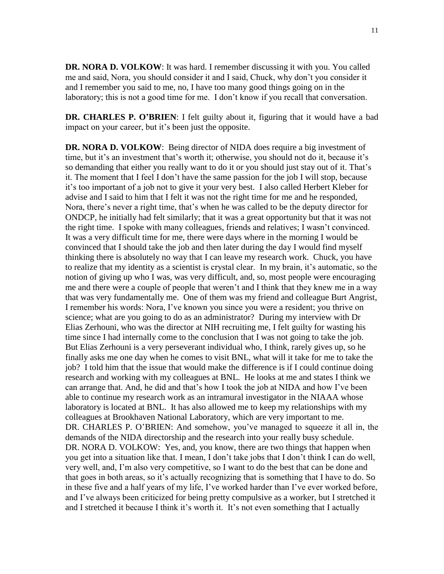**DR. NORA D. VOLKOW**: It was hard. I remember discussing it with you. You called me and said, Nora, you should consider it and I said, Chuck, why don't you consider it and I remember you said to me, no, I have too many good things going on in the laboratory; this is not a good time for me. I don't know if you recall that conversation.

**DR. CHARLES P. O'BRIEN**: I felt guilty about it, figuring that it would have a bad impact on your career, but it's been just the opposite.

**DR. NORA D. VOLKOW**: Being director of NIDA does require a big investment of time, but it's an investment that's worth it; otherwise, you should not do it, because it's so demanding that either you really want to do it or you should just stay out of it. That's it. The moment that I feel I don't have the same passion for the job I will stop, because it's too important of a job not to give it your very best. I also called Herbert Kleber for advise and I said to him that I felt it was not the right time for me and he responded, Nora, there's never a right time, that's when he was called to be the deputy director for ONDCP, he initially had felt similarly; that it was a great opportunity but that it was not the right time. I spoke with many colleagues, friends and relatives; I wasn't convinced. It was a very difficult time for me, there were days where in the morning I would be convinced that I should take the job and then later during the day I would find myself thinking there is absolutely no way that I can leave my research work. Chuck, you have to realize that my identity as a scientist is crystal clear. In my brain, it's automatic, so the notion of giving up who I was, was very difficult, and, so, most people were encouraging me and there were a couple of people that weren't and I think that they knew me in a way that was very fundamentally me. One of them was my friend and colleague Burt Angrist, I remember his words: Nora, I've known you since you were a resident; you thrive on science; what are you going to do as an administrator? During my interview with Dr Elias Zerhouni, who was the director at NIH recruiting me, I felt guilty for wasting his time since I had internally come to the conclusion that I was not going to take the job. But Elias Zerhouni is a very perseverant individual who, I think, rarely gives up, so he finally asks me one day when he comes to visit BNL, what will it take for me to take the job? I told him that the issue that would make the difference is if I could continue doing research and working with my colleagues at BNL. He looks at me and states I think we can arrange that. And, he did and that's how I took the job at NIDA and how I've been able to continue my research work as an intramural investigator in the NIAAA whose laboratory is located at BNL. It has also allowed me to keep my relationships with my colleagues at Brookhaven National Laboratory, which are very important to me. DR. CHARLES P. O'BRIEN: And somehow, you've managed to squeeze it all in, the demands of the NIDA directorship and the research into your really busy schedule. DR. NORA D. VOLKOW: Yes, and, you know, there are two things that happen when you get into a situation like that. I mean, I don't take jobs that I don't think I can do well, very well, and, I'm also very competitive, so I want to do the best that can be done and that goes in both areas, so it's actually recognizing that is something that I have to do. So in these five and a half years of my life, I've worked harder than I've ever worked before, and I've always been criticized for being pretty compulsive as a worker, but I stretched it and I stretched it because I think it's worth it. It's not even something that I actually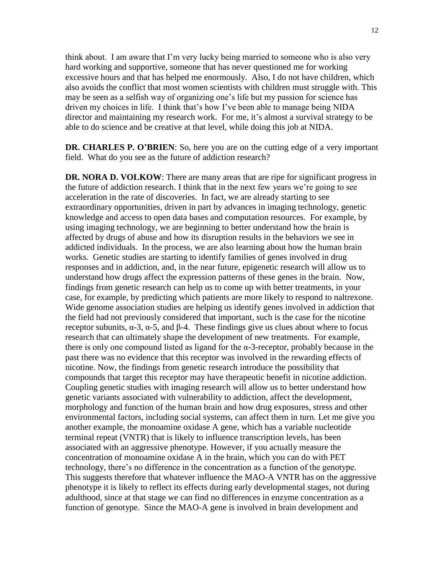think about. I am aware that I'm very lucky being married to someone who is also very hard working and supportive, someone that has never questioned me for working excessive hours and that has helped me enormously. Also, I do not have children, which also avoids the conflict that most women scientists with children must struggle with. This may be seen as a selfish way of organizing one's life but my passion for science has driven my choices in life. I think that's how I've been able to manage being NIDA director and maintaining my research work. For me, it's almost a survival strategy to be able to do science and be creative at that level, while doing this job at NIDA.

**DR. CHARLES P. O'BRIEN**: So, here you are on the cutting edge of a very important field. What do you see as the future of addiction research?

**DR. NORA D. VOLKOW**: There are many areas that are ripe for significant progress in the future of addiction research. I think that in the next few years we're going to see acceleration in the rate of discoveries. In fact, we are already starting to see extraordinary opportunities, driven in part by advances in imaging technology, genetic knowledge and access to open data bases and computation resources. For example, by using imaging technology, we are beginning to better understand how the brain is affected by drugs of abuse and how its disruption results in the behaviors we see in addicted individuals. In the process, we are also learning about how the human brain works. Genetic studies are starting to identify families of genes involved in drug responses and in addiction, and, in the near future, epigenetic research will allow us to understand how drugs affect the expression patterns of these genes in the brain. Now, findings from genetic research can help us to come up with better treatments, in your case, for example, by predicting which patients are more likely to respond to naltrexone. Wide genome association studies are helping us identify genes involved in addiction that the field had not previously considered that important, such is the case for the nicotine receptor subunits,  $\alpha$ -3,  $\alpha$ -5, and β-4. These findings give us clues about where to focus research that can ultimately shape the development of new treatments. For example, there is only one compound listed as ligand for the α-3-receptor, probably because in the past there was no evidence that this receptor was involved in the rewarding effects of nicotine. Now, the findings from genetic research introduce the possibility that compounds that target this receptor may have therapeutic benefit in nicotine addiction. Coupling genetic studies with imaging research will allow us to better understand how genetic variants associated with vulnerability to addiction, affect the development, morphology and function of the human brain and how drug exposures, stress and other environmental factors, including social systems, can affect them in turn. Let me give you another example, the monoamine oxidase A gene, which has a variable nucleotide terminal repeat (VNTR) that is likely to influence transcription levels, has been associated with an aggressive phenotype. However, if you actually measure the concentration of monoamine oxidase A in the brain, which you can do with PET technology, there's no difference in the concentration as a function of the genotype. This suggests therefore that whatever influence the MAO-A VNTR has on the aggressive phenotype it is likely to reflect its effects during early developmental stages, not during adulthood, since at that stage we can find no differences in enzyme concentration as a function of genotype. Since the MAO-A gene is involved in brain development and